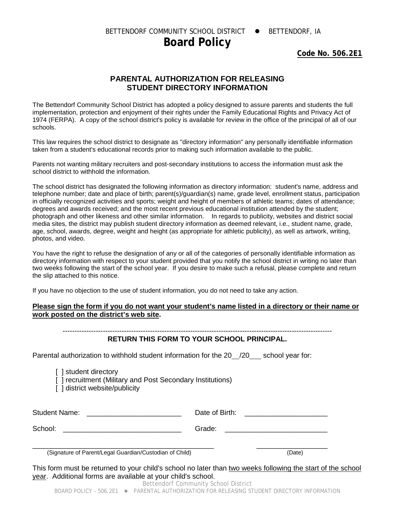BETTENDORF COMMUNITY SCHOOL DISTRICT . BETTENDORF, IA

## **Board Policy**

**Code No. 506.2E1**

## **PARENTAL AUTHORIZATION FOR RELEASING STUDENT DIRECTORY INFORMATION**

The Bettendorf Community School District has adopted a policy designed to assure parents and students the full implementation, protection and enjoyment of their rights under the Family Educational Rights and Privacy Act of 1974 (FERPA). A copy of the school district's policy is available for review in the office of the principal of all of our schools.

This law requires the school district to designate as "directory information" any personally identifiable information taken from a student's educational records prior to making such information available to the public.

Parents not wanting military recruiters and post-secondary institutions to access the information must ask the school district to withhold the information.

The school district has designated the following information as directory information: student's name, address and telephone number; date and place of birth; parent(s)/guardian(s) name, grade level, enrollment status, participation in officially recognized activities and sports; weight and height of members of athletic teams; dates of attendance; degrees and awards received; and the most recent previous educational institution attended by the student; photograph and other likeness and other similar information. In regards to publicity, websites and district social media sites, the district may publish student directory information as deemed relevant, i.e., student name, grade, age, school, awards, degree, weight and height (as appropriate for athletic publicity), as well as artwork, writing, photos, and video.

You have the right to refuse the designation of any or all of the categories of personally identifiable information as directory information with respect to your student provided that you notify the school district in writing no later than two weeks following the start of the school year. If you desire to make such a refusal, please complete and return the slip attached to this notice.

If you have no objection to the use of student information, you do not need to take any action.

## **Please sign the form if you do not want your student's name listed in a directory or their name or work posted on the district's web site.**

## **RETURN THIS FORM TO YOUR SCHOOL PRINCIPAL.**

Parental authorization to withhold student information for the 20 /20 school year for:

[ ] student directory [ ] recruitment (Military and Post Secondary Institutions) [] district website/publicity

| <b>Student Name:</b>                                      | Date of Birth: |          |
|-----------------------------------------------------------|----------------|----------|
| School:                                                   | Grade:         |          |
| $(Cianature of Daron t/l and Cunrden/Custadian of Child)$ |                | $(D0+0)$ |

\_\_\_\_\_\_\_\_\_\_\_\_\_\_\_\_\_\_\_\_\_\_\_\_\_\_\_\_\_\_\_\_\_\_\_\_\_\_\_\_\_\_\_\_\_\_ \_\_\_\_\_\_\_\_\_\_\_\_\_\_\_\_\_\_ (Signature of Parent/Legal Guardian/Custodian of Child) (Date)

This form must be returned to your child's school no later than two weeks following the start of the school year. Additional forms are available at your child's school. Bettendorf Community School District